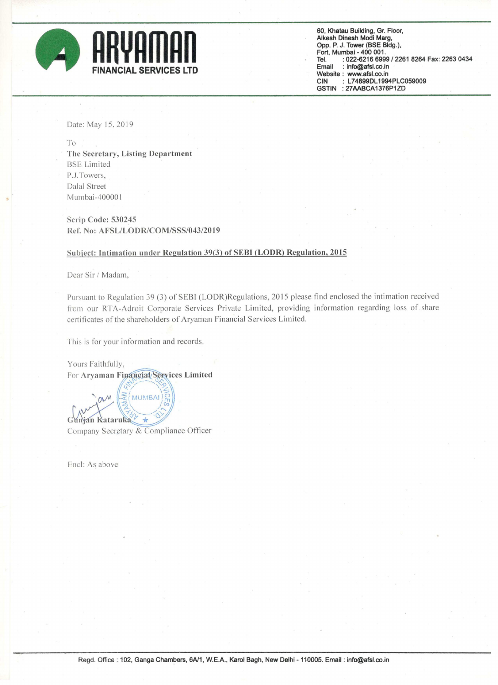

60, Khatau Building, Gr. Floor, Alkesh Dinesh Modi Marg, Opp. P. J. Tower (BSE Bldg.), Fort, Mumbai - 400 001. : 022-6216 6999 / 2261 8264 Fax: 2263 0434 Tel. : info@afsl.co.in Email Website : www.afsl.co.in L74899DL1994PLC059009 **CIN** GSTIN : 27AABCA1376P1ZD

Date: May 15, 2019

To The Secretary, Listing Department **BSE** Limited P.J.Towers, Dalal Street Mumbai-400001

**Scrip Code: 530245** Ref. No: AFSL/LODR/COM/SSS/043/2019

## Subject: Intimation under Regulation 39(3) of SEBI (LODR) Regulation, 2015

Dear Sir / Madam,

Pursuant to Regulation 39 (3) of SEBI (LODR)Regulations, 2015 please find enclosed the intimation received from our RTA-Adroit Corporate Services Private Limited, providing information regarding loss of share certificates of the shareholders of Aryaman Financial Services Limited.

This is for your information and records.

Yours Faithfully, For Aryaman Financial/Services Limited

**MUMBAI** Gunjan Kataruka Company Secretary & Compliance Officer

Encl: As above